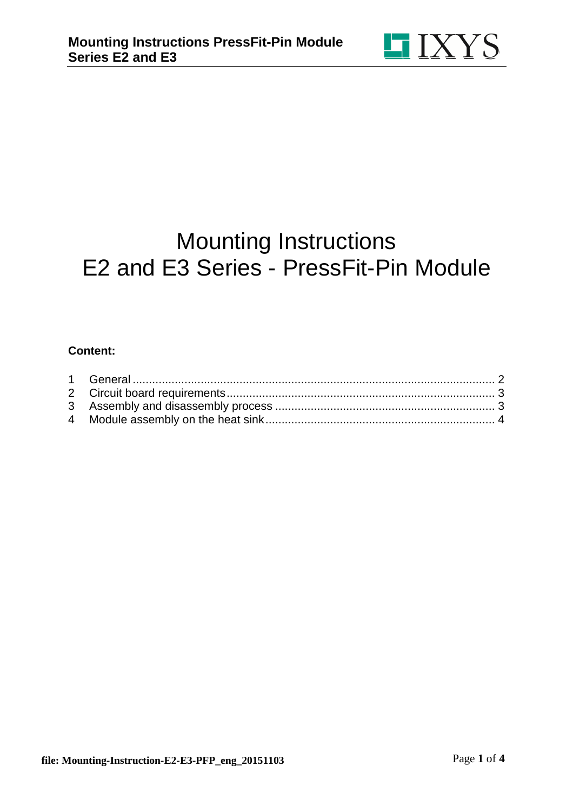

# Mounting Instructions E2 and E3 Series - PressFit-Pin Module

#### **Content:**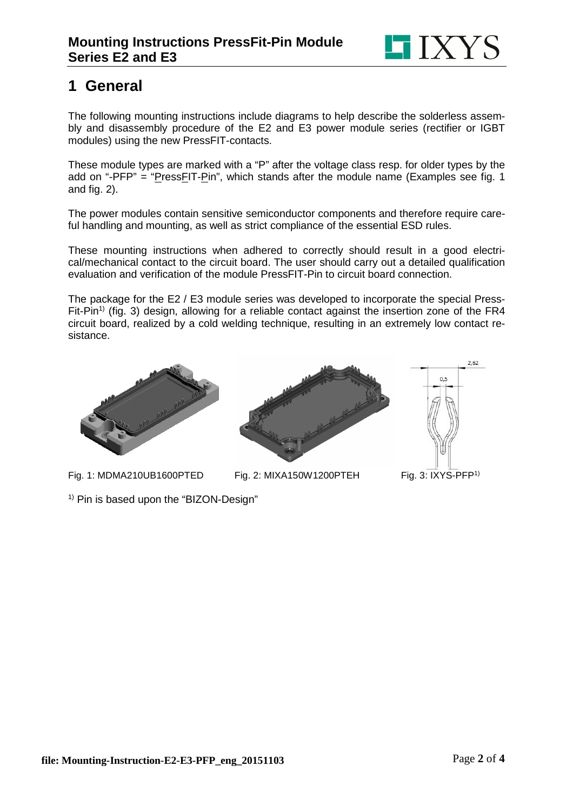

## **1 General**

The following mounting instructions include diagrams to help describe the solderless assembly and disassembly procedure of the E2 and E3 power module series (rectifier or IGBT modules) using the new PressFIT-contacts.

These module types are marked with a "P" after the voltage class resp. for older types by the add on "-PFP" = "PressFIT-Pin", which stands after the module name (Examples see fig. 1 and fig. 2).

The power modules contain sensitive semiconductor components and therefore require careful handling and mounting, as well as strict compliance of the essential ESD rules.

These mounting instructions when adhered to correctly should result in a good electrical/mechanical contact to the circuit board. The user should carry out a detailed qualification evaluation and verification of the module PressFIT-Pin to circuit board connection.

The package for the E2 / E3 module series was developed to incorporate the special Press-Fit-Pin<sup>1)</sup> (fig. 3) design, allowing for a reliable contact against the insertion zone of the FR4 circuit board, realized by a cold welding technique, resulting in an extremely low contact resistance.



Fig. 1: MDMA210UB1600PTED Fig. 2: MIXA150W1200PTEH Fig. 3: IXYS-PFP<sup>1)</sup>



 $2,62$ 

 $0.5$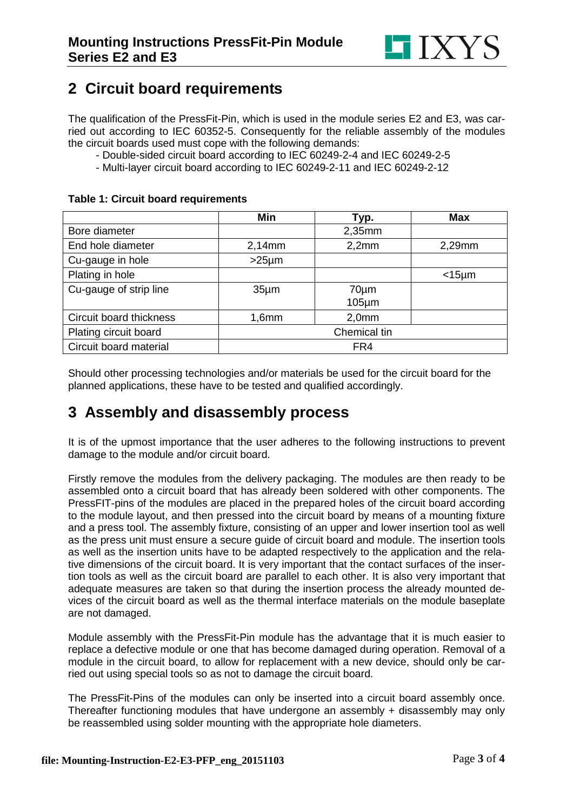

### **2 Circuit board requirements**

The qualification of the PressFit-Pin, which is used in the module series E2 and E3, was carried out according to IEC 60352-5. Consequently for the reliable assembly of the modules the circuit boards used must cope with the following demands:

- Double-sided circuit board according to IEC 60249-2-4 and IEC 60249-2-5
- Multi-layer circuit board according to IEC 60249-2-11 and IEC 60249-2-12

#### **Table 1: Circuit board requirements**

|                         | Min               | Typ.         | <b>Max</b>     |
|-------------------------|-------------------|--------------|----------------|
| Bore diameter           |                   | $2,35$ mm    |                |
| End hole diameter       | 2,14mm            | 2,2mm        | 2,29mm         |
| Cu-gauge in hole        | $>25 \mu m$       |              |                |
| Plating in hole         |                   |              | $<$ 15 $\mu$ m |
| Cu-gauge of strip line  | 35 <sub>µ</sub> m | $70 \mu m$   |                |
|                         |                   | $105 \mu m$  |                |
| Circuit board thickness | 1,6mm             | 2,0mm        |                |
| Plating circuit board   |                   | Chemical tin |                |
| Circuit board material  |                   | FR4          |                |

Should other processing technologies and/or materials be used for the circuit board for the planned applications, these have to be tested and qualified accordingly.

#### **3 Assembly and disassembly process**

It is of the upmost importance that the user adheres to the following instructions to prevent damage to the module and/or circuit board.

Firstly remove the modules from the delivery packaging. The modules are then ready to be assembled onto a circuit board that has already been soldered with other components. The PressFIT-pins of the modules are placed in the prepared holes of the circuit board according to the module layout, and then pressed into the circuit board by means of a mounting fixture and a press tool. The assembly fixture, consisting of an upper and lower insertion tool as well as the press unit must ensure a secure guide of circuit board and module. The insertion tools as well as the insertion units have to be adapted respectively to the application and the relative dimensions of the circuit board. It is very important that the contact surfaces of the insertion tools as well as the circuit board are parallel to each other. It is also very important that adequate measures are taken so that during the insertion process the already mounted devices of the circuit board as well as the thermal interface materials on the module baseplate are not damaged.

Module assembly with the PressFit-Pin module has the advantage that it is much easier to replace a defective module or one that has become damaged during operation. Removal of a module in the circuit board, to allow for replacement with a new device, should only be carried out using special tools so as not to damage the circuit board.

The PressFit-Pins of the modules can only be inserted into a circuit board assembly once. Thereafter functioning modules that have undergone an assembly + disassembly may only be reassembled using solder mounting with the appropriate hole diameters.